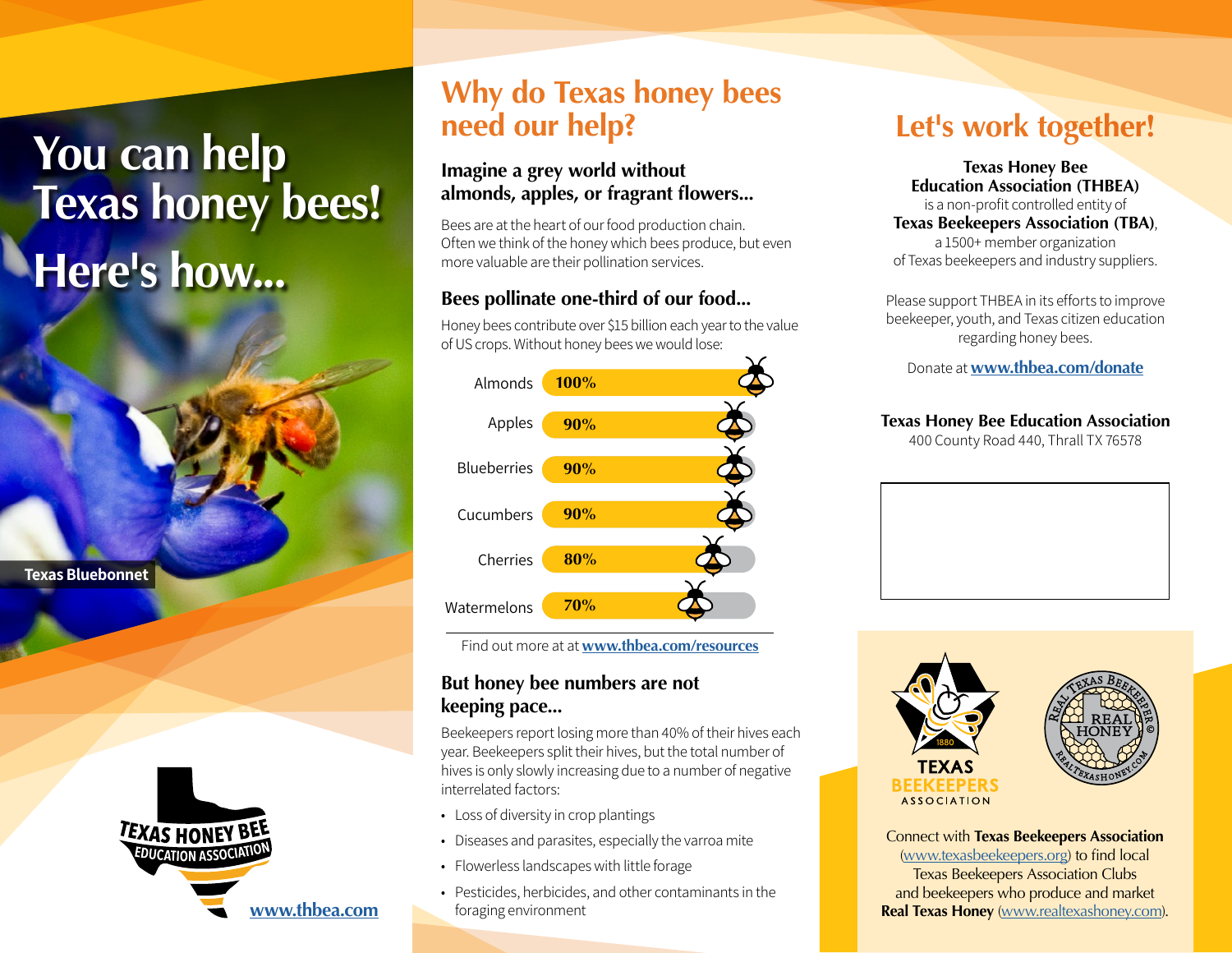# **You can help Texas honey bees! Here's how...**

**Texas Bluebonnet**



## **Why do Texas honey bees need our help?**

#### **Imagine a grey world without almonds, apples, or fragrant flowers...**

Bees are at the heart of our food production chain. Often we think of the honey which bees produce, but even more valuable are their pollination services.

#### **Bees pollinate one-third of our food...**

Honey bees contribute over \$15 billion each year to the value of US crops. Without honey bees we would lose:



Find out more at at **www.thbea.com/resources**

#### **But honey bee numbers are not keeping pace...**

Beekeepers report losing more than 40% of their hives each year. Beekeepers split their hives, but the total number of hives is only slowly increasing due to a number of negative interrelated factors:

- Loss of diversity in crop plantings
- Diseases and parasites, especially the varroa mite
- Flowerless landscapes with little forage
- Pesticides, herbicides, and other contaminants in the foraging environment

## **Let's work together!**

**Texas Honey Bee Education Association (THBEA)** is a non-profit controlled entity of **Texas Beekeepers Association (TBA)**, a 1500+ member organization of Texas beekeepers and industry suppliers.

Please support THBEA in its efforts to improve beekeeper, youth, and Texas citizen education regarding honey bees.

Donate at **[www.thbea.com/donate](http://www.thbea.com/donate)**

#### **Texas Honey Bee Education Association**

400 County Road 440, Thrall TX 76578





Connect with **Texas Beekeepers Association** [\(www.texasbeekeepers.org](http://www.texasbeekeepers.org)) to find local Texas Beekeepers Association Clubs and beekeepers who produce and market **Real Texas Honey** ([www.realtexashoney.com](https://realtexashoney.com/)).